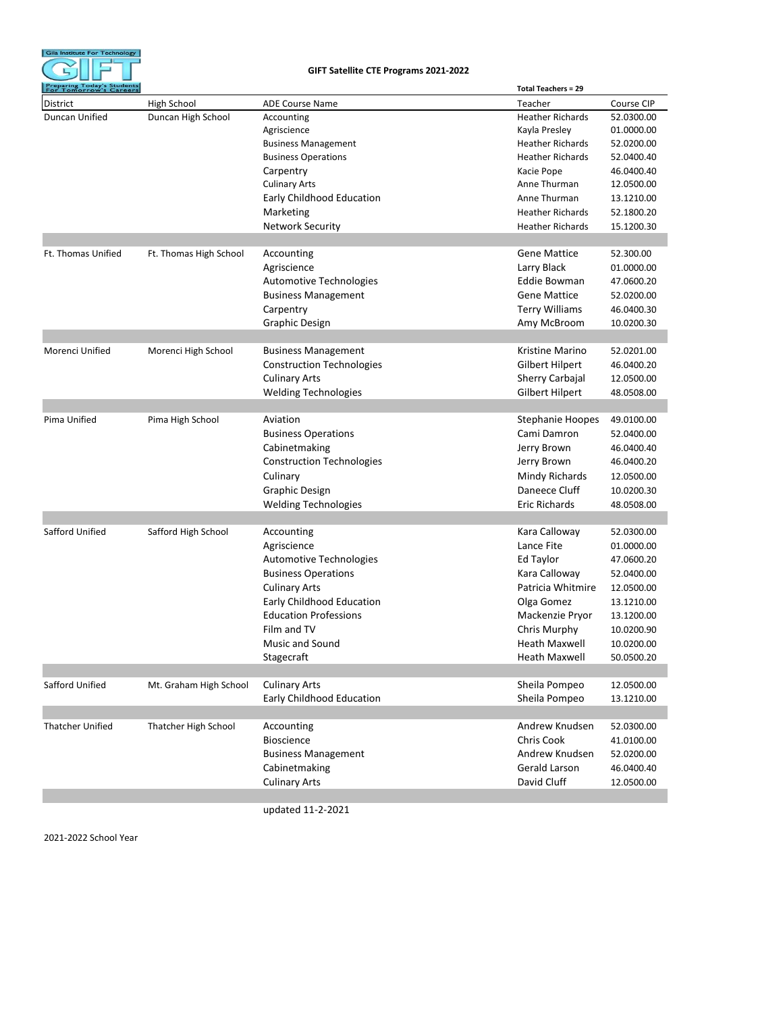

## **GIFT Satellite CTE Programs 2021-2022**

| District<br>High School<br><b>ADE Course Name</b><br>Teacher<br>Course CIP<br>Duncan Unified<br>52.0300.00<br>Duncan High School<br><b>Heather Richards</b><br>Accounting<br>01.0000.00<br>Kayla Presley<br>Agriscience<br>52.0200.00<br><b>Business Management</b><br><b>Heather Richards</b><br><b>Business Operations</b><br><b>Heather Richards</b><br>52.0400.40<br>Carpentry<br>Kacie Pope<br>46.0400.40<br><b>Culinary Arts</b><br>Anne Thurman<br>12.0500.00<br>Early Childhood Education<br>Anne Thurman<br>13.1210.00<br>Marketing<br><b>Heather Richards</b><br>52.1800.20<br><b>Network Security</b><br><b>Heather Richards</b><br>15.1200.30<br>Ft. Thomas Unified<br>Ft. Thomas High School<br><b>Gene Mattice</b><br>52.300.00<br>Accounting<br>Larry Black<br>Agriscience<br>01.0000.00<br>Eddie Bowman<br>Automotive Technologies<br>47.0600.20<br><b>Business Management</b><br><b>Gene Mattice</b><br>52.0200.00<br><b>Terry Williams</b><br>Carpentry<br>46.0400.30<br><b>Graphic Design</b><br>Amy McBroom<br>10.0200.30<br>Morenci Unified<br>Kristine Marino<br>Morenci High School<br><b>Business Management</b><br>52.0201.00<br><b>Construction Technologies</b><br>Gilbert Hilpert<br>46.0400.20<br><b>Culinary Arts</b><br>Sherry Carbajal<br>12.0500.00<br><b>Welding Technologies</b><br>Gilbert Hilpert<br>48.0508.00<br>Pima Unified<br>Aviation<br>Pima High School<br>Stephanie Hoopes<br>49.0100.00<br><b>Business Operations</b><br>Cami Damron<br>52.0400.00<br>Cabinetmaking<br>Jerry Brown<br>46.0400.40<br><b>Construction Technologies</b><br>Jerry Brown<br>46.0400.20<br>Mindy Richards<br>Culinary<br>12.0500.00<br><b>Graphic Design</b><br>Daneece Cluff<br>10.0200.30<br>Eric Richards<br><b>Welding Technologies</b><br>48.0508.00<br>Safford Unified<br>Safford High School<br>Accounting<br>Kara Calloway<br>52.0300.00<br>Lance Fite<br>Agriscience<br>01.0000.00<br>Ed Taylor<br>Automotive Technologies<br>47.0600.20<br><b>Business Operations</b><br>Kara Calloway<br>52.0400.00<br><b>Culinary Arts</b><br>Patricia Whitmire<br>12.0500.00<br>Early Childhood Education<br>Olga Gomez<br>13.1210.00<br><b>Education Professions</b><br>Mackenzie Pryor<br>13.1200.00<br>Film and TV<br>Chris Murphy<br>10.0200.90<br>Music and Sound<br>Heath Maxwell<br>10.0200.00<br>Stagecraft<br>Heath Maxwell<br>50.0500.20<br>Safford Unified<br><b>Culinary Arts</b><br>Sheila Pompeo<br>Mt. Graham High School<br>12.0500.00<br>Early Childhood Education<br>Sheila Pompeo<br>13.1210.00<br>Accounting<br>Andrew Knudsen<br><b>Thatcher Unified</b><br>Thatcher High School<br>52.0300.00<br><b>Bioscience</b><br>Chris Cook<br>41.0100.00<br><b>Business Management</b><br>Andrew Knudsen<br>52.0200.00<br>Cabinetmaking<br>Gerald Larson<br>46.0400.40<br><b>Culinary Arts</b><br>David Cluff<br>12.0500.00 | Preparing Today's Students<br>For Tomorrow's Careers |  | <b>Total Teachers = 29</b> |  |
|---------------------------------------------------------------------------------------------------------------------------------------------------------------------------------------------------------------------------------------------------------------------------------------------------------------------------------------------------------------------------------------------------------------------------------------------------------------------------------------------------------------------------------------------------------------------------------------------------------------------------------------------------------------------------------------------------------------------------------------------------------------------------------------------------------------------------------------------------------------------------------------------------------------------------------------------------------------------------------------------------------------------------------------------------------------------------------------------------------------------------------------------------------------------------------------------------------------------------------------------------------------------------------------------------------------------------------------------------------------------------------------------------------------------------------------------------------------------------------------------------------------------------------------------------------------------------------------------------------------------------------------------------------------------------------------------------------------------------------------------------------------------------------------------------------------------------------------------------------------------------------------------------------------------------------------------------------------------------------------------------------------------------------------------------------------------------------------------------------------------------------------------------------------------------------------------------------------------------------------------------------------------------------------------------------------------------------------------------------------------------------------------------------------------------------------------------------------------------------------------------------------------------------------------------------------------------------------------------------------------------------------------------------------------------------------------------------------------------------------------------------------------------------------------------------------------------------------------------------------|------------------------------------------------------|--|----------------------------|--|
|                                                                                                                                                                                                                                                                                                                                                                                                                                                                                                                                                                                                                                                                                                                                                                                                                                                                                                                                                                                                                                                                                                                                                                                                                                                                                                                                                                                                                                                                                                                                                                                                                                                                                                                                                                                                                                                                                                                                                                                                                                                                                                                                                                                                                                                                                                                                                                                                                                                                                                                                                                                                                                                                                                                                                                                                                                                               |                                                      |  |                            |  |
|                                                                                                                                                                                                                                                                                                                                                                                                                                                                                                                                                                                                                                                                                                                                                                                                                                                                                                                                                                                                                                                                                                                                                                                                                                                                                                                                                                                                                                                                                                                                                                                                                                                                                                                                                                                                                                                                                                                                                                                                                                                                                                                                                                                                                                                                                                                                                                                                                                                                                                                                                                                                                                                                                                                                                                                                                                                               |                                                      |  |                            |  |
|                                                                                                                                                                                                                                                                                                                                                                                                                                                                                                                                                                                                                                                                                                                                                                                                                                                                                                                                                                                                                                                                                                                                                                                                                                                                                                                                                                                                                                                                                                                                                                                                                                                                                                                                                                                                                                                                                                                                                                                                                                                                                                                                                                                                                                                                                                                                                                                                                                                                                                                                                                                                                                                                                                                                                                                                                                                               |                                                      |  |                            |  |
|                                                                                                                                                                                                                                                                                                                                                                                                                                                                                                                                                                                                                                                                                                                                                                                                                                                                                                                                                                                                                                                                                                                                                                                                                                                                                                                                                                                                                                                                                                                                                                                                                                                                                                                                                                                                                                                                                                                                                                                                                                                                                                                                                                                                                                                                                                                                                                                                                                                                                                                                                                                                                                                                                                                                                                                                                                                               |                                                      |  |                            |  |
|                                                                                                                                                                                                                                                                                                                                                                                                                                                                                                                                                                                                                                                                                                                                                                                                                                                                                                                                                                                                                                                                                                                                                                                                                                                                                                                                                                                                                                                                                                                                                                                                                                                                                                                                                                                                                                                                                                                                                                                                                                                                                                                                                                                                                                                                                                                                                                                                                                                                                                                                                                                                                                                                                                                                                                                                                                                               |                                                      |  |                            |  |
|                                                                                                                                                                                                                                                                                                                                                                                                                                                                                                                                                                                                                                                                                                                                                                                                                                                                                                                                                                                                                                                                                                                                                                                                                                                                                                                                                                                                                                                                                                                                                                                                                                                                                                                                                                                                                                                                                                                                                                                                                                                                                                                                                                                                                                                                                                                                                                                                                                                                                                                                                                                                                                                                                                                                                                                                                                                               |                                                      |  |                            |  |
|                                                                                                                                                                                                                                                                                                                                                                                                                                                                                                                                                                                                                                                                                                                                                                                                                                                                                                                                                                                                                                                                                                                                                                                                                                                                                                                                                                                                                                                                                                                                                                                                                                                                                                                                                                                                                                                                                                                                                                                                                                                                                                                                                                                                                                                                                                                                                                                                                                                                                                                                                                                                                                                                                                                                                                                                                                                               |                                                      |  |                            |  |
|                                                                                                                                                                                                                                                                                                                                                                                                                                                                                                                                                                                                                                                                                                                                                                                                                                                                                                                                                                                                                                                                                                                                                                                                                                                                                                                                                                                                                                                                                                                                                                                                                                                                                                                                                                                                                                                                                                                                                                                                                                                                                                                                                                                                                                                                                                                                                                                                                                                                                                                                                                                                                                                                                                                                                                                                                                                               |                                                      |  |                            |  |
|                                                                                                                                                                                                                                                                                                                                                                                                                                                                                                                                                                                                                                                                                                                                                                                                                                                                                                                                                                                                                                                                                                                                                                                                                                                                                                                                                                                                                                                                                                                                                                                                                                                                                                                                                                                                                                                                                                                                                                                                                                                                                                                                                                                                                                                                                                                                                                                                                                                                                                                                                                                                                                                                                                                                                                                                                                                               |                                                      |  |                            |  |
|                                                                                                                                                                                                                                                                                                                                                                                                                                                                                                                                                                                                                                                                                                                                                                                                                                                                                                                                                                                                                                                                                                                                                                                                                                                                                                                                                                                                                                                                                                                                                                                                                                                                                                                                                                                                                                                                                                                                                                                                                                                                                                                                                                                                                                                                                                                                                                                                                                                                                                                                                                                                                                                                                                                                                                                                                                                               |                                                      |  |                            |  |
|                                                                                                                                                                                                                                                                                                                                                                                                                                                                                                                                                                                                                                                                                                                                                                                                                                                                                                                                                                                                                                                                                                                                                                                                                                                                                                                                                                                                                                                                                                                                                                                                                                                                                                                                                                                                                                                                                                                                                                                                                                                                                                                                                                                                                                                                                                                                                                                                                                                                                                                                                                                                                                                                                                                                                                                                                                                               |                                                      |  |                            |  |
|                                                                                                                                                                                                                                                                                                                                                                                                                                                                                                                                                                                                                                                                                                                                                                                                                                                                                                                                                                                                                                                                                                                                                                                                                                                                                                                                                                                                                                                                                                                                                                                                                                                                                                                                                                                                                                                                                                                                                                                                                                                                                                                                                                                                                                                                                                                                                                                                                                                                                                                                                                                                                                                                                                                                                                                                                                                               |                                                      |  |                            |  |
|                                                                                                                                                                                                                                                                                                                                                                                                                                                                                                                                                                                                                                                                                                                                                                                                                                                                                                                                                                                                                                                                                                                                                                                                                                                                                                                                                                                                                                                                                                                                                                                                                                                                                                                                                                                                                                                                                                                                                                                                                                                                                                                                                                                                                                                                                                                                                                                                                                                                                                                                                                                                                                                                                                                                                                                                                                                               |                                                      |  |                            |  |
|                                                                                                                                                                                                                                                                                                                                                                                                                                                                                                                                                                                                                                                                                                                                                                                                                                                                                                                                                                                                                                                                                                                                                                                                                                                                                                                                                                                                                                                                                                                                                                                                                                                                                                                                                                                                                                                                                                                                                                                                                                                                                                                                                                                                                                                                                                                                                                                                                                                                                                                                                                                                                                                                                                                                                                                                                                                               |                                                      |  |                            |  |
|                                                                                                                                                                                                                                                                                                                                                                                                                                                                                                                                                                                                                                                                                                                                                                                                                                                                                                                                                                                                                                                                                                                                                                                                                                                                                                                                                                                                                                                                                                                                                                                                                                                                                                                                                                                                                                                                                                                                                                                                                                                                                                                                                                                                                                                                                                                                                                                                                                                                                                                                                                                                                                                                                                                                                                                                                                                               |                                                      |  |                            |  |
|                                                                                                                                                                                                                                                                                                                                                                                                                                                                                                                                                                                                                                                                                                                                                                                                                                                                                                                                                                                                                                                                                                                                                                                                                                                                                                                                                                                                                                                                                                                                                                                                                                                                                                                                                                                                                                                                                                                                                                                                                                                                                                                                                                                                                                                                                                                                                                                                                                                                                                                                                                                                                                                                                                                                                                                                                                                               |                                                      |  |                            |  |
|                                                                                                                                                                                                                                                                                                                                                                                                                                                                                                                                                                                                                                                                                                                                                                                                                                                                                                                                                                                                                                                                                                                                                                                                                                                                                                                                                                                                                                                                                                                                                                                                                                                                                                                                                                                                                                                                                                                                                                                                                                                                                                                                                                                                                                                                                                                                                                                                                                                                                                                                                                                                                                                                                                                                                                                                                                                               |                                                      |  |                            |  |
|                                                                                                                                                                                                                                                                                                                                                                                                                                                                                                                                                                                                                                                                                                                                                                                                                                                                                                                                                                                                                                                                                                                                                                                                                                                                                                                                                                                                                                                                                                                                                                                                                                                                                                                                                                                                                                                                                                                                                                                                                                                                                                                                                                                                                                                                                                                                                                                                                                                                                                                                                                                                                                                                                                                                                                                                                                                               |                                                      |  |                            |  |
|                                                                                                                                                                                                                                                                                                                                                                                                                                                                                                                                                                                                                                                                                                                                                                                                                                                                                                                                                                                                                                                                                                                                                                                                                                                                                                                                                                                                                                                                                                                                                                                                                                                                                                                                                                                                                                                                                                                                                                                                                                                                                                                                                                                                                                                                                                                                                                                                                                                                                                                                                                                                                                                                                                                                                                                                                                                               |                                                      |  |                            |  |
|                                                                                                                                                                                                                                                                                                                                                                                                                                                                                                                                                                                                                                                                                                                                                                                                                                                                                                                                                                                                                                                                                                                                                                                                                                                                                                                                                                                                                                                                                                                                                                                                                                                                                                                                                                                                                                                                                                                                                                                                                                                                                                                                                                                                                                                                                                                                                                                                                                                                                                                                                                                                                                                                                                                                                                                                                                                               |                                                      |  |                            |  |
|                                                                                                                                                                                                                                                                                                                                                                                                                                                                                                                                                                                                                                                                                                                                                                                                                                                                                                                                                                                                                                                                                                                                                                                                                                                                                                                                                                                                                                                                                                                                                                                                                                                                                                                                                                                                                                                                                                                                                                                                                                                                                                                                                                                                                                                                                                                                                                                                                                                                                                                                                                                                                                                                                                                                                                                                                                                               |                                                      |  |                            |  |
|                                                                                                                                                                                                                                                                                                                                                                                                                                                                                                                                                                                                                                                                                                                                                                                                                                                                                                                                                                                                                                                                                                                                                                                                                                                                                                                                                                                                                                                                                                                                                                                                                                                                                                                                                                                                                                                                                                                                                                                                                                                                                                                                                                                                                                                                                                                                                                                                                                                                                                                                                                                                                                                                                                                                                                                                                                                               |                                                      |  |                            |  |
|                                                                                                                                                                                                                                                                                                                                                                                                                                                                                                                                                                                                                                                                                                                                                                                                                                                                                                                                                                                                                                                                                                                                                                                                                                                                                                                                                                                                                                                                                                                                                                                                                                                                                                                                                                                                                                                                                                                                                                                                                                                                                                                                                                                                                                                                                                                                                                                                                                                                                                                                                                                                                                                                                                                                                                                                                                                               |                                                      |  |                            |  |
|                                                                                                                                                                                                                                                                                                                                                                                                                                                                                                                                                                                                                                                                                                                                                                                                                                                                                                                                                                                                                                                                                                                                                                                                                                                                                                                                                                                                                                                                                                                                                                                                                                                                                                                                                                                                                                                                                                                                                                                                                                                                                                                                                                                                                                                                                                                                                                                                                                                                                                                                                                                                                                                                                                                                                                                                                                                               |                                                      |  |                            |  |
|                                                                                                                                                                                                                                                                                                                                                                                                                                                                                                                                                                                                                                                                                                                                                                                                                                                                                                                                                                                                                                                                                                                                                                                                                                                                                                                                                                                                                                                                                                                                                                                                                                                                                                                                                                                                                                                                                                                                                                                                                                                                                                                                                                                                                                                                                                                                                                                                                                                                                                                                                                                                                                                                                                                                                                                                                                                               |                                                      |  |                            |  |
|                                                                                                                                                                                                                                                                                                                                                                                                                                                                                                                                                                                                                                                                                                                                                                                                                                                                                                                                                                                                                                                                                                                                                                                                                                                                                                                                                                                                                                                                                                                                                                                                                                                                                                                                                                                                                                                                                                                                                                                                                                                                                                                                                                                                                                                                                                                                                                                                                                                                                                                                                                                                                                                                                                                                                                                                                                                               |                                                      |  |                            |  |
|                                                                                                                                                                                                                                                                                                                                                                                                                                                                                                                                                                                                                                                                                                                                                                                                                                                                                                                                                                                                                                                                                                                                                                                                                                                                                                                                                                                                                                                                                                                                                                                                                                                                                                                                                                                                                                                                                                                                                                                                                                                                                                                                                                                                                                                                                                                                                                                                                                                                                                                                                                                                                                                                                                                                                                                                                                                               |                                                      |  |                            |  |
|                                                                                                                                                                                                                                                                                                                                                                                                                                                                                                                                                                                                                                                                                                                                                                                                                                                                                                                                                                                                                                                                                                                                                                                                                                                                                                                                                                                                                                                                                                                                                                                                                                                                                                                                                                                                                                                                                                                                                                                                                                                                                                                                                                                                                                                                                                                                                                                                                                                                                                                                                                                                                                                                                                                                                                                                                                                               |                                                      |  |                            |  |
|                                                                                                                                                                                                                                                                                                                                                                                                                                                                                                                                                                                                                                                                                                                                                                                                                                                                                                                                                                                                                                                                                                                                                                                                                                                                                                                                                                                                                                                                                                                                                                                                                                                                                                                                                                                                                                                                                                                                                                                                                                                                                                                                                                                                                                                                                                                                                                                                                                                                                                                                                                                                                                                                                                                                                                                                                                                               |                                                      |  |                            |  |
|                                                                                                                                                                                                                                                                                                                                                                                                                                                                                                                                                                                                                                                                                                                                                                                                                                                                                                                                                                                                                                                                                                                                                                                                                                                                                                                                                                                                                                                                                                                                                                                                                                                                                                                                                                                                                                                                                                                                                                                                                                                                                                                                                                                                                                                                                                                                                                                                                                                                                                                                                                                                                                                                                                                                                                                                                                                               |                                                      |  |                            |  |
|                                                                                                                                                                                                                                                                                                                                                                                                                                                                                                                                                                                                                                                                                                                                                                                                                                                                                                                                                                                                                                                                                                                                                                                                                                                                                                                                                                                                                                                                                                                                                                                                                                                                                                                                                                                                                                                                                                                                                                                                                                                                                                                                                                                                                                                                                                                                                                                                                                                                                                                                                                                                                                                                                                                                                                                                                                                               |                                                      |  |                            |  |
|                                                                                                                                                                                                                                                                                                                                                                                                                                                                                                                                                                                                                                                                                                                                                                                                                                                                                                                                                                                                                                                                                                                                                                                                                                                                                                                                                                                                                                                                                                                                                                                                                                                                                                                                                                                                                                                                                                                                                                                                                                                                                                                                                                                                                                                                                                                                                                                                                                                                                                                                                                                                                                                                                                                                                                                                                                                               |                                                      |  |                            |  |
|                                                                                                                                                                                                                                                                                                                                                                                                                                                                                                                                                                                                                                                                                                                                                                                                                                                                                                                                                                                                                                                                                                                                                                                                                                                                                                                                                                                                                                                                                                                                                                                                                                                                                                                                                                                                                                                                                                                                                                                                                                                                                                                                                                                                                                                                                                                                                                                                                                                                                                                                                                                                                                                                                                                                                                                                                                                               |                                                      |  |                            |  |
|                                                                                                                                                                                                                                                                                                                                                                                                                                                                                                                                                                                                                                                                                                                                                                                                                                                                                                                                                                                                                                                                                                                                                                                                                                                                                                                                                                                                                                                                                                                                                                                                                                                                                                                                                                                                                                                                                                                                                                                                                                                                                                                                                                                                                                                                                                                                                                                                                                                                                                                                                                                                                                                                                                                                                                                                                                                               |                                                      |  |                            |  |
|                                                                                                                                                                                                                                                                                                                                                                                                                                                                                                                                                                                                                                                                                                                                                                                                                                                                                                                                                                                                                                                                                                                                                                                                                                                                                                                                                                                                                                                                                                                                                                                                                                                                                                                                                                                                                                                                                                                                                                                                                                                                                                                                                                                                                                                                                                                                                                                                                                                                                                                                                                                                                                                                                                                                                                                                                                                               |                                                      |  |                            |  |
|                                                                                                                                                                                                                                                                                                                                                                                                                                                                                                                                                                                                                                                                                                                                                                                                                                                                                                                                                                                                                                                                                                                                                                                                                                                                                                                                                                                                                                                                                                                                                                                                                                                                                                                                                                                                                                                                                                                                                                                                                                                                                                                                                                                                                                                                                                                                                                                                                                                                                                                                                                                                                                                                                                                                                                                                                                                               |                                                      |  |                            |  |
|                                                                                                                                                                                                                                                                                                                                                                                                                                                                                                                                                                                                                                                                                                                                                                                                                                                                                                                                                                                                                                                                                                                                                                                                                                                                                                                                                                                                                                                                                                                                                                                                                                                                                                                                                                                                                                                                                                                                                                                                                                                                                                                                                                                                                                                                                                                                                                                                                                                                                                                                                                                                                                                                                                                                                                                                                                                               |                                                      |  |                            |  |
|                                                                                                                                                                                                                                                                                                                                                                                                                                                                                                                                                                                                                                                                                                                                                                                                                                                                                                                                                                                                                                                                                                                                                                                                                                                                                                                                                                                                                                                                                                                                                                                                                                                                                                                                                                                                                                                                                                                                                                                                                                                                                                                                                                                                                                                                                                                                                                                                                                                                                                                                                                                                                                                                                                                                                                                                                                                               |                                                      |  |                            |  |
|                                                                                                                                                                                                                                                                                                                                                                                                                                                                                                                                                                                                                                                                                                                                                                                                                                                                                                                                                                                                                                                                                                                                                                                                                                                                                                                                                                                                                                                                                                                                                                                                                                                                                                                                                                                                                                                                                                                                                                                                                                                                                                                                                                                                                                                                                                                                                                                                                                                                                                                                                                                                                                                                                                                                                                                                                                                               |                                                      |  |                            |  |
|                                                                                                                                                                                                                                                                                                                                                                                                                                                                                                                                                                                                                                                                                                                                                                                                                                                                                                                                                                                                                                                                                                                                                                                                                                                                                                                                                                                                                                                                                                                                                                                                                                                                                                                                                                                                                                                                                                                                                                                                                                                                                                                                                                                                                                                                                                                                                                                                                                                                                                                                                                                                                                                                                                                                                                                                                                                               |                                                      |  |                            |  |
|                                                                                                                                                                                                                                                                                                                                                                                                                                                                                                                                                                                                                                                                                                                                                                                                                                                                                                                                                                                                                                                                                                                                                                                                                                                                                                                                                                                                                                                                                                                                                                                                                                                                                                                                                                                                                                                                                                                                                                                                                                                                                                                                                                                                                                                                                                                                                                                                                                                                                                                                                                                                                                                                                                                                                                                                                                                               |                                                      |  |                            |  |
|                                                                                                                                                                                                                                                                                                                                                                                                                                                                                                                                                                                                                                                                                                                                                                                                                                                                                                                                                                                                                                                                                                                                                                                                                                                                                                                                                                                                                                                                                                                                                                                                                                                                                                                                                                                                                                                                                                                                                                                                                                                                                                                                                                                                                                                                                                                                                                                                                                                                                                                                                                                                                                                                                                                                                                                                                                                               |                                                      |  |                            |  |
|                                                                                                                                                                                                                                                                                                                                                                                                                                                                                                                                                                                                                                                                                                                                                                                                                                                                                                                                                                                                                                                                                                                                                                                                                                                                                                                                                                                                                                                                                                                                                                                                                                                                                                                                                                                                                                                                                                                                                                                                                                                                                                                                                                                                                                                                                                                                                                                                                                                                                                                                                                                                                                                                                                                                                                                                                                                               |                                                      |  |                            |  |
|                                                                                                                                                                                                                                                                                                                                                                                                                                                                                                                                                                                                                                                                                                                                                                                                                                                                                                                                                                                                                                                                                                                                                                                                                                                                                                                                                                                                                                                                                                                                                                                                                                                                                                                                                                                                                                                                                                                                                                                                                                                                                                                                                                                                                                                                                                                                                                                                                                                                                                                                                                                                                                                                                                                                                                                                                                                               |                                                      |  |                            |  |
|                                                                                                                                                                                                                                                                                                                                                                                                                                                                                                                                                                                                                                                                                                                                                                                                                                                                                                                                                                                                                                                                                                                                                                                                                                                                                                                                                                                                                                                                                                                                                                                                                                                                                                                                                                                                                                                                                                                                                                                                                                                                                                                                                                                                                                                                                                                                                                                                                                                                                                                                                                                                                                                                                                                                                                                                                                                               |                                                      |  |                            |  |
|                                                                                                                                                                                                                                                                                                                                                                                                                                                                                                                                                                                                                                                                                                                                                                                                                                                                                                                                                                                                                                                                                                                                                                                                                                                                                                                                                                                                                                                                                                                                                                                                                                                                                                                                                                                                                                                                                                                                                                                                                                                                                                                                                                                                                                                                                                                                                                                                                                                                                                                                                                                                                                                                                                                                                                                                                                                               |                                                      |  |                            |  |
|                                                                                                                                                                                                                                                                                                                                                                                                                                                                                                                                                                                                                                                                                                                                                                                                                                                                                                                                                                                                                                                                                                                                                                                                                                                                                                                                                                                                                                                                                                                                                                                                                                                                                                                                                                                                                                                                                                                                                                                                                                                                                                                                                                                                                                                                                                                                                                                                                                                                                                                                                                                                                                                                                                                                                                                                                                                               |                                                      |  |                            |  |
|                                                                                                                                                                                                                                                                                                                                                                                                                                                                                                                                                                                                                                                                                                                                                                                                                                                                                                                                                                                                                                                                                                                                                                                                                                                                                                                                                                                                                                                                                                                                                                                                                                                                                                                                                                                                                                                                                                                                                                                                                                                                                                                                                                                                                                                                                                                                                                                                                                                                                                                                                                                                                                                                                                                                                                                                                                                               |                                                      |  |                            |  |
|                                                                                                                                                                                                                                                                                                                                                                                                                                                                                                                                                                                                                                                                                                                                                                                                                                                                                                                                                                                                                                                                                                                                                                                                                                                                                                                                                                                                                                                                                                                                                                                                                                                                                                                                                                                                                                                                                                                                                                                                                                                                                                                                                                                                                                                                                                                                                                                                                                                                                                                                                                                                                                                                                                                                                                                                                                                               |                                                      |  |                            |  |
|                                                                                                                                                                                                                                                                                                                                                                                                                                                                                                                                                                                                                                                                                                                                                                                                                                                                                                                                                                                                                                                                                                                                                                                                                                                                                                                                                                                                                                                                                                                                                                                                                                                                                                                                                                                                                                                                                                                                                                                                                                                                                                                                                                                                                                                                                                                                                                                                                                                                                                                                                                                                                                                                                                                                                                                                                                                               |                                                      |  |                            |  |
|                                                                                                                                                                                                                                                                                                                                                                                                                                                                                                                                                                                                                                                                                                                                                                                                                                                                                                                                                                                                                                                                                                                                                                                                                                                                                                                                                                                                                                                                                                                                                                                                                                                                                                                                                                                                                                                                                                                                                                                                                                                                                                                                                                                                                                                                                                                                                                                                                                                                                                                                                                                                                                                                                                                                                                                                                                                               |                                                      |  |                            |  |

updated 11-2-2021

2021-2022 School Year